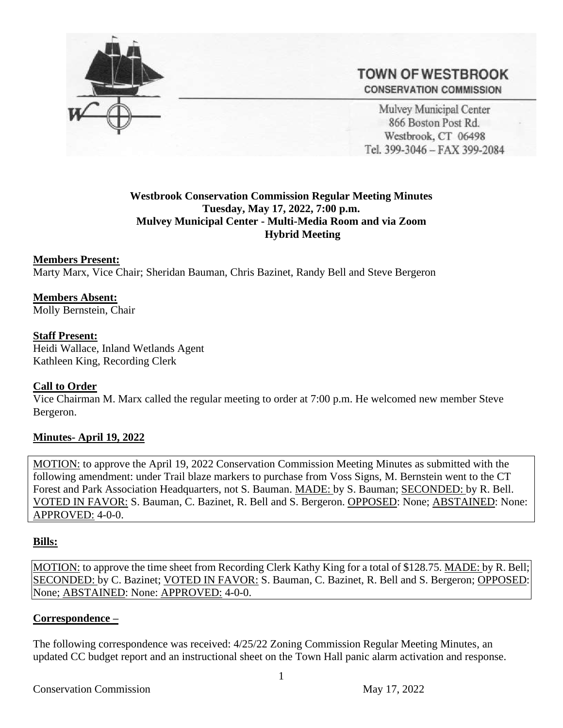

# **TOWN OF WESTBROOK CONSERVATION COMMISSION**

Mulvey Municipal Center 866 Boston Post Rd. Westbrook, CT 06498 Tel. 399-3046 - FAX 399-2084

#### **Westbrook Conservation Commission Regular Meeting Minutes Tuesday, May 17, 2022, 7:00 p.m. Mulvey Municipal Center - Multi-Media Room and via Zoom Hybrid Meeting**

#### **Members Present:** Marty Marx, Vice Chair; Sheridan Bauman, Chris Bazinet, Randy Bell and Steve Bergeron

**Members Absent:** Molly Bernstein, Chair

### **Staff Present:**

Heidi Wallace, Inland Wetlands Agent Kathleen King, Recording Clerk

## **Call to Order**

Vice Chairman M. Marx called the regular meeting to order at 7:00 p.m. He welcomed new member Steve Bergeron.

## **Minutes- April 19, 2022**

MOTION: to approve the April 19, 2022 Conservation Commission Meeting Minutes as submitted with the following amendment: under Trail blaze markers to purchase from Voss Signs, M. Bernstein went to the CT Forest and Park Association Headquarters, not S. Bauman. MADE: by S. Bauman; SECONDED: by R. Bell. VOTED IN FAVOR: S. Bauman, C. Bazinet, R. Bell and S. Bergeron. OPPOSED: None; ABSTAINED: None: APPROVED: 4-0-0.

#### **Bills:**

MOTION: to approve the time sheet from Recording Clerk Kathy King for a total of \$128.75. MADE: by R. Bell; SECONDED: by C. Bazinet; VOTED IN FAVOR: S. Bauman, C. Bazinet, R. Bell and S. Bergeron; OPPOSED: None; ABSTAINED: None: APPROVED: 4-0-0.

#### **Correspondence –**

The following correspondence was received: 4/25/22 Zoning Commission Regular Meeting Minutes, an updated CC budget report and an instructional sheet on the Town Hall panic alarm activation and response.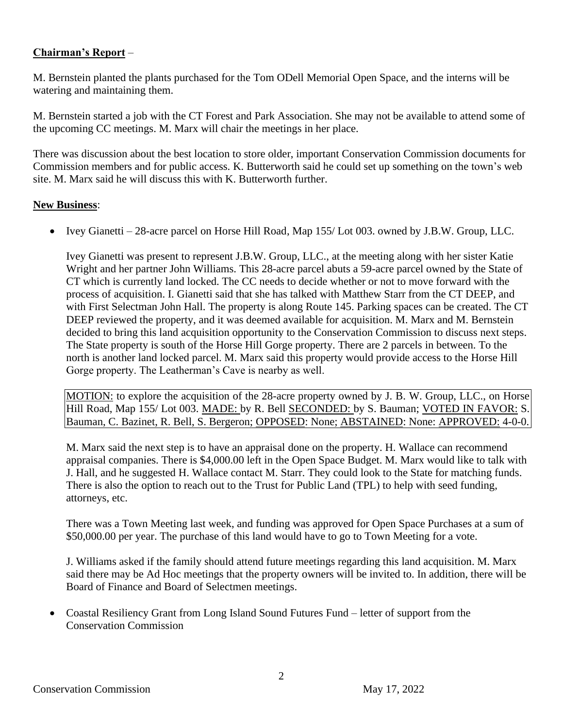#### **Chairman's Report** –

M. Bernstein planted the plants purchased for the Tom ODell Memorial Open Space, and the interns will be watering and maintaining them.

M. Bernstein started a job with the CT Forest and Park Association. She may not be available to attend some of the upcoming CC meetings. M. Marx will chair the meetings in her place.

There was discussion about the best location to store older, important Conservation Commission documents for Commission members and for public access. K. Butterworth said he could set up something on the town's web site. M. Marx said he will discuss this with K. Butterworth further.

#### **New Business**:

• Ivey Gianetti – 28-acre parcel on Horse Hill Road, Map 155/Lot 003. owned by J.B.W. Group, LLC.

Ivey Gianetti was present to represent J.B.W. Group, LLC., at the meeting along with her sister Katie Wright and her partner John Williams. This 28-acre parcel abuts a 59-acre parcel owned by the State of CT which is currently land locked. The CC needs to decide whether or not to move forward with the process of acquisition. I. Gianetti said that she has talked with Matthew Starr from the CT DEEP, and with First Selectman John Hall. The property is along Route 145. Parking spaces can be created. The CT DEEP reviewed the property, and it was deemed available for acquisition. M. Marx and M. Bernstein decided to bring this land acquisition opportunity to the Conservation Commission to discuss next steps. The State property is south of the Horse Hill Gorge property. There are 2 parcels in between. To the north is another land locked parcel. M. Marx said this property would provide access to the Horse Hill Gorge property. The Leatherman's Cave is nearby as well.

MOTION: to explore the acquisition of the 28-acre property owned by J. B. W. Group, LLC., on Horse Hill Road, Map 155/ Lot 003. MADE: by R. Bell SECONDED: by S. Bauman; VOTED IN FAVOR: S. Bauman, C. Bazinet, R. Bell, S. Bergeron; OPPOSED: None; ABSTAINED: None: APPROVED: 4-0-0.

M. Marx said the next step is to have an appraisal done on the property. H. Wallace can recommend appraisal companies. There is \$4,000.00 left in the Open Space Budget. M. Marx would like to talk with J. Hall, and he suggested H. Wallace contact M. Starr. They could look to the State for matching funds. There is also the option to reach out to the Trust for Public Land (TPL) to help with seed funding, attorneys, etc.

There was a Town Meeting last week, and funding was approved for Open Space Purchases at a sum of \$50,000.00 per year. The purchase of this land would have to go to Town Meeting for a vote.

J. Williams asked if the family should attend future meetings regarding this land acquisition. M. Marx said there may be Ad Hoc meetings that the property owners will be invited to. In addition, there will be Board of Finance and Board of Selectmen meetings.

• Coastal Resiliency Grant from Long Island Sound Futures Fund – letter of support from the Conservation Commission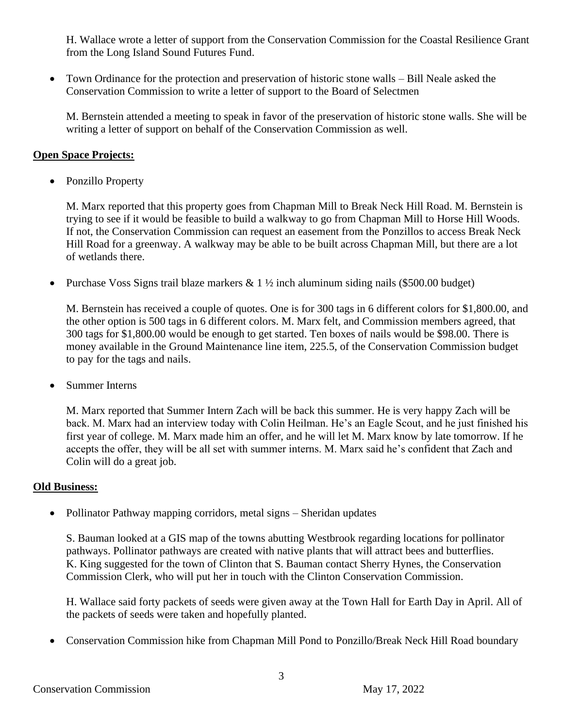H. Wallace wrote a letter of support from the Conservation Commission for the Coastal Resilience Grant from the Long Island Sound Futures Fund.

• Town Ordinance for the protection and preservation of historic stone walls – Bill Neale asked the Conservation Commission to write a letter of support to the Board of Selectmen

M. Bernstein attended a meeting to speak in favor of the preservation of historic stone walls. She will be writing a letter of support on behalf of the Conservation Commission as well.

#### **Open Space Projects:**

• Ponzillo Property

M. Marx reported that this property goes from Chapman Mill to Break Neck Hill Road. M. Bernstein is trying to see if it would be feasible to build a walkway to go from Chapman Mill to Horse Hill Woods. If not, the Conservation Commission can request an easement from the Ponzillos to access Break Neck Hill Road for a greenway. A walkway may be able to be built across Chapman Mill, but there are a lot of wetlands there.

• Purchase Voss Signs trail blaze markers & 1  $\frac{1}{2}$  inch aluminum siding nails (\$500.00 budget)

M. Bernstein has received a couple of quotes. One is for 300 tags in 6 different colors for \$1,800.00, and the other option is 500 tags in 6 different colors. M. Marx felt, and Commission members agreed, that 300 tags for \$1,800.00 would be enough to get started. Ten boxes of nails would be \$98.00. There is money available in the Ground Maintenance line item, 225.5, of the Conservation Commission budget to pay for the tags and nails.

• Summer Interns

M. Marx reported that Summer Intern Zach will be back this summer. He is very happy Zach will be back. M. Marx had an interview today with Colin Heilman. He's an Eagle Scout, and he just finished his first year of college. M. Marx made him an offer, and he will let M. Marx know by late tomorrow. If he accepts the offer, they will be all set with summer interns. M. Marx said he's confident that Zach and Colin will do a great job.

#### **Old Business:**

• Pollinator Pathway mapping corridors, metal signs – Sheridan updates

S. Bauman looked at a GIS map of the towns abutting Westbrook regarding locations for pollinator pathways. Pollinator pathways are created with native plants that will attract bees and butterflies. K. King suggested for the town of Clinton that S. Bauman contact Sherry Hynes, the Conservation Commission Clerk, who will put her in touch with the Clinton Conservation Commission.

H. Wallace said forty packets of seeds were given away at the Town Hall for Earth Day in April. All of the packets of seeds were taken and hopefully planted.

• Conservation Commission hike from Chapman Mill Pond to Ponzillo/Break Neck Hill Road boundary